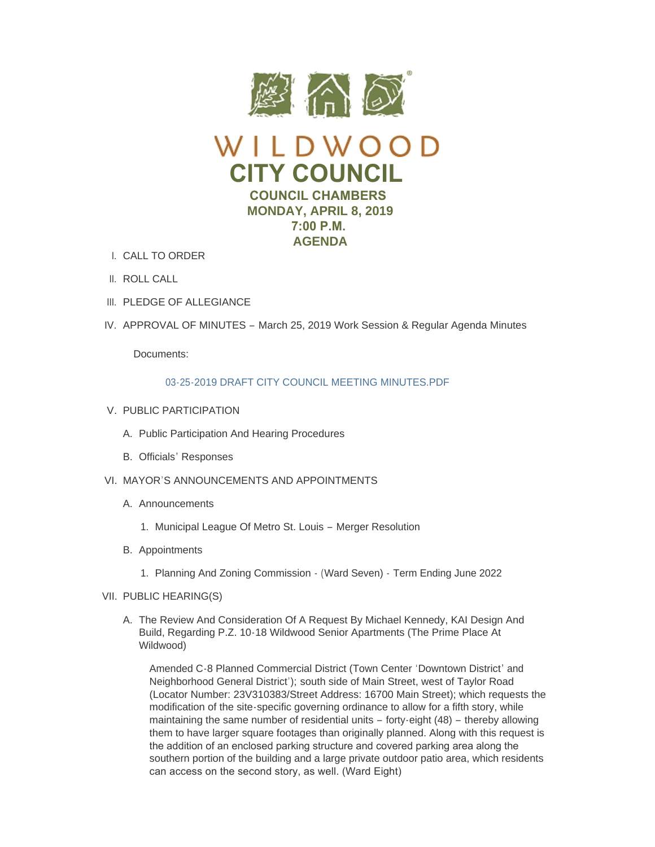



- I. CALL TO ORDER
- II. ROLL CALL
- III. PLEDGE OF ALLEGIANCE
- IV. APPROVAL OF MINUTES March 25, 2019 Work Session & Regular Agenda Minutes

Documents:

# 03-25-2019 DRAFT CITY COUNCIL MEETING MINUTES PDF

- V. PUBLIC PARTICIPATION
	- A. Public Participation And Hearing Procedures
	- B. Officials' Responses
- VI. MAYOR'S ANNOUNCEMENTS AND APPOINTMENTS
	- A. Announcements
		- 1. Municipal League Of Metro St. Louis Merger Resolution
	- B. Appointments
		- 1. Planning And Zoning Commission (Ward Seven) Term Ending June 2022
- VII. PUBLIC HEARING(S)
	- A. The Review And Consideration Of A Request By Michael Kennedy, KAI Design And Build, Regarding P.Z. 10-18 Wildwood Senior Apartments (The Prime Place At Wildwood)

Amended C-8 Planned Commercial District (Town Center 'Downtown District' and Neighborhood General District'); south side of Main Street, west of Taylor Road (Locator Number: 23V310383/Street Address: 16700 Main Street); which requests the modification of the site-specific governing ordinance to allow for a fifth story, while maintaining the same number of residential units – forty-eight (48) – thereby allowing them to have larger square footages than originally planned. Along with this request is the addition of an enclosed parking structure and covered parking area along the southern portion of the building and a large private outdoor patio area, which residents can access on the second story, as well. (Ward Eight)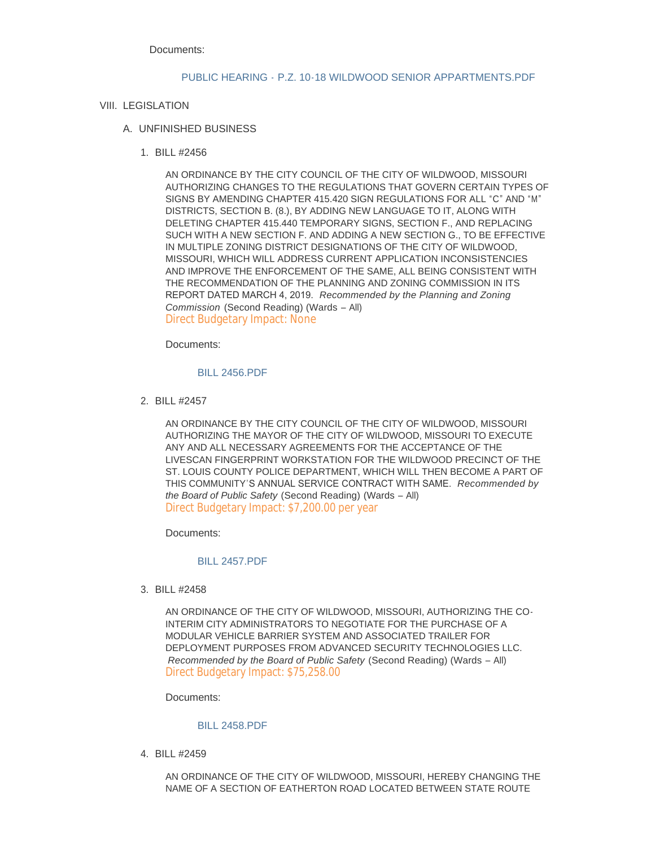Documents:

## PUBLIC HEARING - P.Z. 10-18 WILDWOOD SENIOR APPARTMENTS PDF

# VIII. LEGISLATION

# UNFINISHED BUSINESS A.

BILL #2456 1.

AN ORDINANCE BY THE CITY COUNCIL OF THE CITY OF WILDWOOD, MISSOURI AUTHORIZING CHANGES TO THE REGULATIONS THAT GOVERN CERTAIN TYPES OF SIGNS BY AMENDING CHAPTER 415.420 SIGN REGULATIONS FOR ALL "C" AND "M" DISTRICTS, SECTION B. (8.), BY ADDING NEW LANGUAGE TO IT, ALONG WITH DELETING CHAPTER 415.440 TEMPORARY SIGNS, SECTION F., AND REPLACING SUCH WITH A NEW SECTION F. AND ADDING A NEW SECTION G., TO BE EFFECTIVE IN MULTIPLE ZONING DISTRICT DESIGNATIONS OF THE CITY OF WILDWOOD, MISSOURI, WHICH WILL ADDRESS CURRENT APPLICATION INCONSISTENCIES AND IMPROVE THE ENFORCEMENT OF THE SAME, ALL BEING CONSISTENT WITH THE RECOMMENDATION OF THE PLANNING AND ZONING COMMISSION IN ITS REPORT DATED MARCH 4, 2019. *Recommended by the Planning and Zoning Commission* (Second Reading) (Wards – All) Direct Budgetary Impact: None

Documents:

## [BILL 2456.PDF](https://www.cityofwildwood.com/AgendaCenter/ViewFile/Item/19773?fileID=25825)

BILL #2457 2.

AN ORDINANCE BY THE CITY COUNCIL OF THE CITY OF WILDWOOD, MISSOURI AUTHORIZING THE MAYOR OF THE CITY OF WILDWOOD, MISSOURI TO EXECUTE ANY AND ALL NECESSARY AGREEMENTS FOR THE ACCEPTANCE OF THE LIVESCAN FINGERPRINT WORKSTATION FOR THE WILDWOOD PRECINCT OF THE ST. LOUIS COUNTY POLICE DEPARTMENT, WHICH WILL THEN BECOME A PART OF THIS COMMUNITY'S ANNUAL SERVICE CONTRACT WITH SAME. *Recommended by the Board of Public Safety* (Second Reading) (Wards – All) Direct Budgetary Impact: \$7,200.00 per year

Documents:

### [BILL 2457.PDF](https://www.cityofwildwood.com/AgendaCenter/ViewFile/Item/19774?fileID=25826)

BILL #2458 3.

AN ORDINANCE OF THE CITY OF WILDWOOD, MISSOURI, AUTHORIZING THE CO-INTERIM CITY ADMINISTRATORS TO NEGOTIATE FOR THE PURCHASE OF A MODULAR VEHICLE BARRIER SYSTEM AND ASSOCIATED TRAILER FOR DEPLOYMENT PURPOSES FROM ADVANCED SECURITY TECHNOLOGIES LLC. *Recommended by the Board of Public Safety* (Second Reading) (Wards – All) Direct Budgetary Impact: \$75,258.00

Documents:

### [BILL 2458.PDF](https://www.cityofwildwood.com/AgendaCenter/ViewFile/Item/19775?fileID=25827)

BILL #2459 4.

AN ORDINANCE OF THE CITY OF WILDWOOD, MISSOURI, HEREBY CHANGING THE NAME OF A SECTION OF EATHERTON ROAD LOCATED BETWEEN STATE ROUTE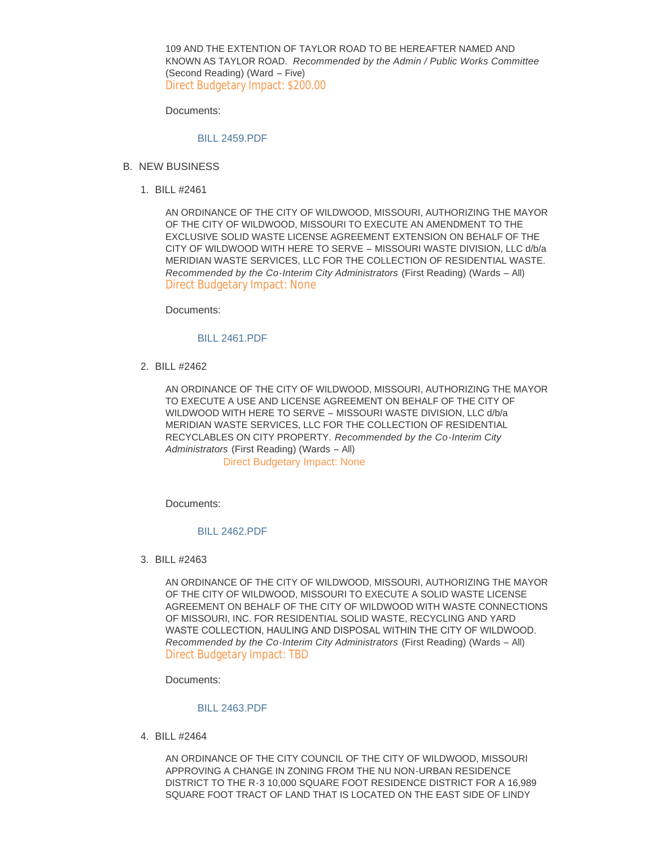109 AND THE EXTENTION OF TAYLOR ROAD TO BE HEREAFTER NAMED AND KNOWN AS TAYLOR ROAD. *Recommended by the Admin / Public Works Committee* (Second Reading) (Ward – Five) Direct Budgetary Impact: \$200.00

Documents:

## [BILL 2459.PDF](https://www.cityofwildwood.com/AgendaCenter/ViewFile/Item/19777?fileID=25828)

- B. NEW BUSINESS
	- BILL #2461 1.

AN ORDINANCE OF THE CITY OF WILDWOOD, MISSOURI, AUTHORIZING THE MAYOR OF THE CITY OF WILDWOOD, MISSOURI TO EXECUTE AN AMENDMENT TO THE EXCLUSIVE SOLID WASTE LICENSE AGREEMENT EXTENSION ON BEHALF OF THE CITY OF WILDWOOD WITH HERE TO SERVE – MISSOURI WASTE DIVISION, LLC d/b/a MERIDIAN WASTE SERVICES, LLC FOR THE COLLECTION OF RESIDENTIAL WASTE. *Recommended by the Co-Interim City Administrators* (First Reading) (Wards – All) Direct Budgetary Impact: None

Documents:

## [BILL 2461.PDF](https://www.cityofwildwood.com/AgendaCenter/ViewFile/Item/19779?fileID=25864)

BILL #2462 2.

AN ORDINANCE OF THE CITY OF WILDWOOD, MISSOURI, AUTHORIZING THE MAYOR TO EXECUTE A USE AND LICENSE AGREEMENT ON BEHALF OF THE CITY OF WILDWOOD WITH HERE TO SERVE – MISSOURI WASTE DIVISION, LLC d/b/a MERIDIAN WASTE SERVICES, LLC FOR THE COLLECTION OF RESIDENTIAL RECYCLABLES ON CITY PROPERTY. *Recommended by the Co-Interim City Administrators* (First Reading) (Wards – All) Direct Budgetary Impact: None

Documents:

### [BILL 2462.PDF](https://www.cityofwildwood.com/AgendaCenter/ViewFile/Item/19780?fileID=25861)

BILL #2463 3.

AN ORDINANCE OF THE CITY OF WILDWOOD, MISSOURI, AUTHORIZING THE MAYOR OF THE CITY OF WILDWOOD, MISSOURI TO EXECUTE A SOLID WASTE LICENSE AGREEMENT ON BEHALF OF THE CITY OF WILDWOOD WITH WASTE CONNECTIONS OF MISSOURI, INC. FOR RESIDENTIAL SOLID WASTE, RECYCLING AND YARD WASTE COLLECTION, HAULING AND DISPOSAL WITHIN THE CITY OF WILDWOOD. *Recommended by the Co-Interim City Administrators* (First Reading) (Wards – All) Direct Budgetary Impact: TBD

Documents:

## [BILL 2463.PDF](https://www.cityofwildwood.com/AgendaCenter/ViewFile/Item/19781?fileID=25865)

BILL #2464 4.

AN ORDINANCE OF THE CITY COUNCIL OF THE CITY OF WILDWOOD, MISSOURI APPROVING A CHANGE IN ZONING FROM THE NU NON-URBAN RESIDENCE DISTRICT TO THE R-3 10,000 SQUARE FOOT RESIDENCE DISTRICT FOR A 16,989 SQUARE FOOT TRACT OF LAND THAT IS LOCATED ON THE EAST SIDE OF LINDY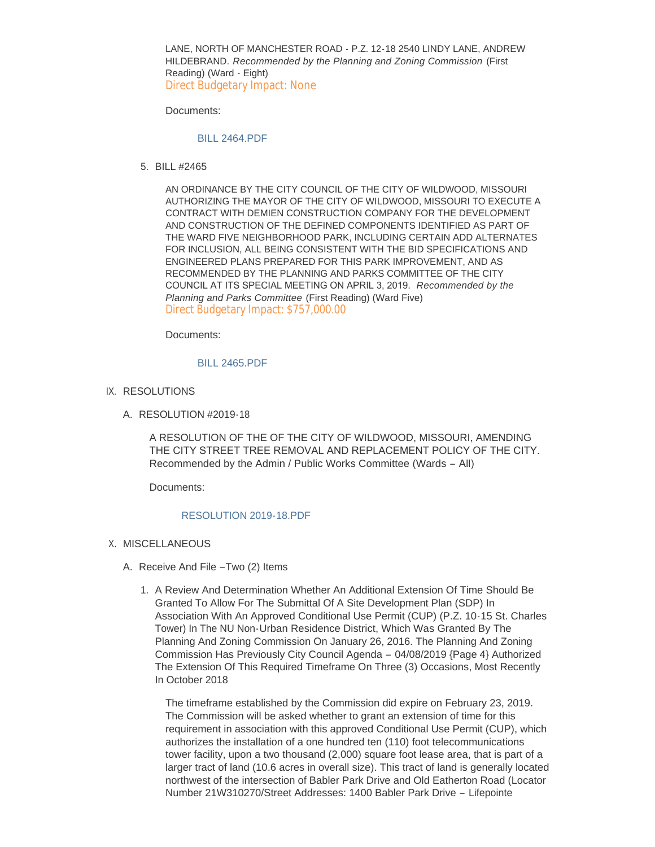LANE, NORTH OF MANCHESTER ROAD - P.Z. 12-18 2540 LINDY LANE, ANDREW HILDEBRAND. *Recommended by the Planning and Zoning Commission* (First Reading) (Ward - Eight) Direct Budgetary Impact: None

Documents:

#### [BILL 2464.PDF](https://www.cityofwildwood.com/AgendaCenter/ViewFile/Item/19782?fileID=25832)

BILL #2465 5.

AN ORDINANCE BY THE CITY COUNCIL OF THE CITY OF WILDWOOD, MISSOURI AUTHORIZING THE MAYOR OF THE CITY OF WILDWOOD, MISSOURI TO EXECUTE A CONTRACT WITH DEMIEN CONSTRUCTION COMPANY FOR THE DEVELOPMENT AND CONSTRUCTION OF THE DEFINED COMPONENTS IDENTIFIED AS PART OF THE WARD FIVE NEIGHBORHOOD PARK, INCLUDING CERTAIN ADD ALTERNATES FOR INCLUSION, ALL BEING CONSISTENT WITH THE BID SPECIFICATIONS AND ENGINEERED PLANS PREPARED FOR THIS PARK IMPROVEMENT, AND AS RECOMMENDED BY THE PLANNING AND PARKS COMMITTEE OF THE CITY COUNCIL AT ITS SPECIAL MEETING ON APRIL 3, 2019. *Recommended by the Planning and Parks Committee* (First Reading) (Ward Five) Direct Budgetary Impact: \$757,000.00

Documents:

#### [BILL 2465.PDF](https://www.cityofwildwood.com/AgendaCenter/ViewFile/Item/19783?fileID=25833)

- IX. RESOLUTIONS
	- A. RESOLUTION #2019-18

A RESOLUTION OF THE OF THE CITY OF WILDWOOD, MISSOURI, AMENDING THE CITY STREET TREE REMOVAL AND REPLACEMENT POLICY OF THE CITY. Recommended by the Admin / Public Works Committee (Wards – All)

Documents:

#### [RESOLUTION 2019-18.PDF](https://www.cityofwildwood.com/AgendaCenter/ViewFile/Item/19785?fileID=25834)

- X. MISCELLANEOUS
	- A. Receive And File -Two (2) Items
		- 1. A Review And Determination Whether An Additional Extension Of Time Should Be Granted To Allow For The Submittal Of A Site Development Plan (SDP) In Association With An Approved Conditional Use Permit (CUP) (P.Z. 10-15 St. Charles Tower) In The NU Non-Urban Residence District, Which Was Granted By The Planning And Zoning Commission On January 26, 2016. The Planning And Zoning Commission Has Previously City Council Agenda – 04/08/2019 {Page 4} Authorized The Extension Of This Required Timeframe On Three (3) Occasions, Most Recently In October 2018

The timeframe established by the Commission did expire on February 23, 2019. The Commission will be asked whether to grant an extension of time for this requirement in association with this approved Conditional Use Permit (CUP), which authorizes the installation of a one hundred ten (110) foot telecommunications tower facility, upon a two thousand (2,000) square foot lease area, that is part of a larger tract of land (10.6 acres in overall size). This tract of land is generally located northwest of the intersection of Babler Park Drive and Old Eatherton Road (Locator Number 21W310270/Street Addresses: 1400 Babler Park Drive – Lifepointe